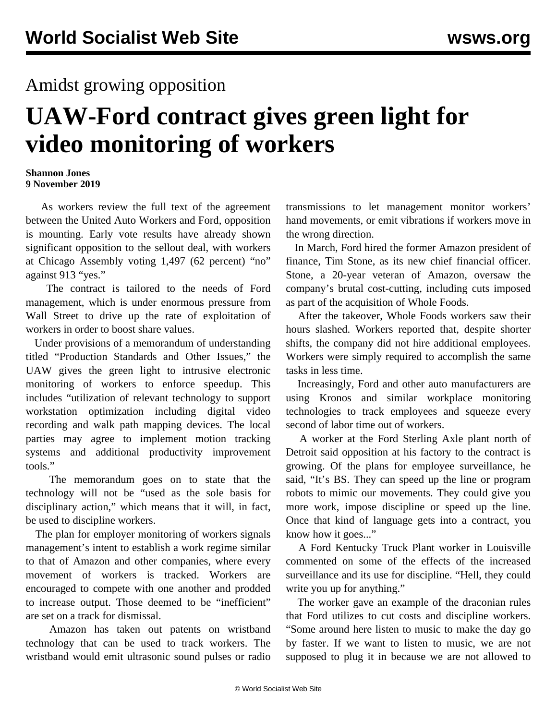## Amidst growing opposition

## **UAW-Ford contract gives green light for video monitoring of workers**

## **Shannon Jones 9 November 2019**

 As workers review the full text of the agreement between the United Auto Workers and Ford, opposition is mounting. Early vote results have already shown significant opposition to the sellout deal, with workers at Chicago Assembly voting 1,497 (62 percent) "no" against 913 "yes."

 The contract is tailored to the needs of Ford management, which is under enormous pressure from Wall Street to drive up the rate of exploitation of workers in order to boost share values.

 Under provisions of a memorandum of understanding titled "Production Standards and Other Issues," the UAW gives the green light to intrusive electronic monitoring of workers to enforce speedup. This includes "utilization of relevant technology to support workstation optimization including digital video recording and walk path mapping devices. The local parties may agree to implement motion tracking systems and additional productivity improvement tools."

 The memorandum goes on to state that the technology will not be "used as the sole basis for disciplinary action," which means that it will, in fact, be used to discipline workers.

 The plan for employer monitoring of workers signals management's intent to establish a work regime similar to that of [Amazon](/en/articles/2017/05/26/amaz-m26.html) and other companies, where every movement of workers is tracked. Workers are encouraged to compete with one another and prodded to increase output. Those deemed to be "inefficient" are set on a track for dismissal.

 Amazon has taken out patents on wristband technology that can be used to track workers. The wristband would emit ultrasonic sound pulses or radio

transmissions to let management monitor workers' hand movements, or emit vibrations if workers move in the wrong direction.

 In March, Ford hired the former Amazon president of finance, Tim Stone, as its new chief financial officer. Stone, a 20-year veteran of Amazon, oversaw the company's brutal cost-cutting, including cuts imposed as part of the acquisition of Whole Foods.

 After the takeover, Whole Foods workers saw their hours slashed. Workers [reported](/en/articles/2019/03/08/amaz-m08.html) that, despite shorter shifts, the company did not hire additional employees. Workers were simply required to accomplish the same tasks in less time.

 Increasingly, Ford and other auto manufacturers are using Kronos and similar workplace monitoring technologies to track employees and squeeze every second of labor time out of workers.

 A worker at the Ford Sterling Axle plant north of Detroit said opposition at his factory to the contract is growing. Of the plans for employee surveillance, he said, "It's BS. They can speed up the line or program robots to mimic our movements. They could give you more work, impose discipline or speed up the line. Once that kind of language gets into a contract, you know how it goes..."

 A Ford Kentucky Truck Plant worker in Louisville commented on some of the effects of the increased surveillance and its use for discipline. "Hell, they could write you up for anything."

 The worker gave an example of the draconian rules that Ford utilizes to cut costs and discipline workers. "Some around here listen to music to make the day go by faster. If we want to listen to music, we are not supposed to plug it in because we are not allowed to